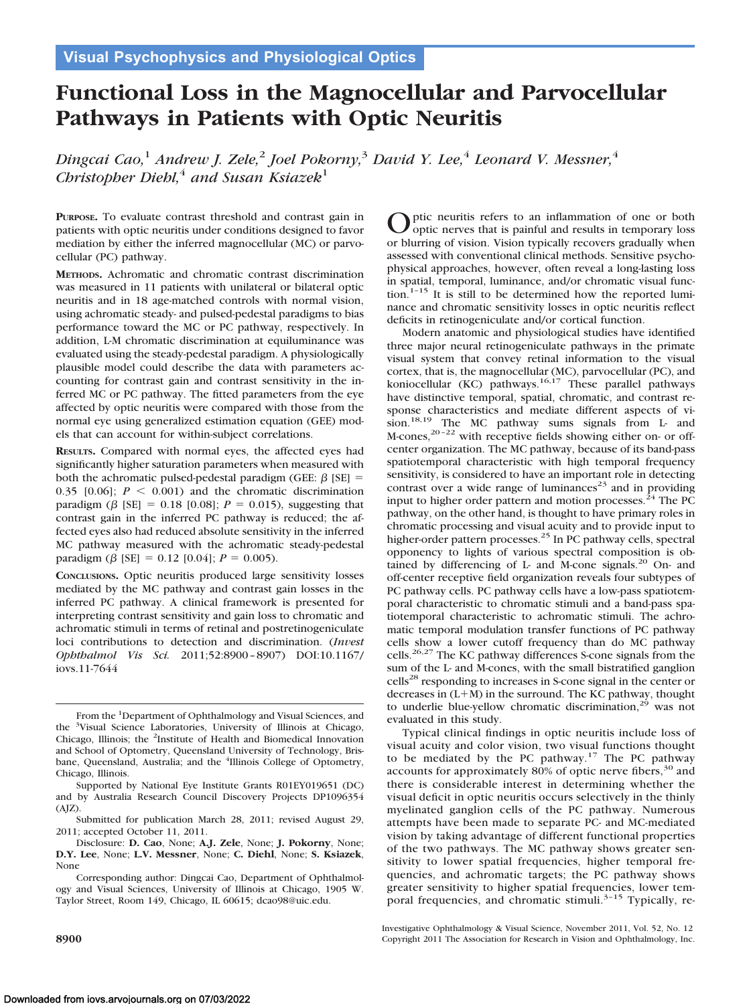# **Functional Loss in the Magnocellular and Parvocellular Pathways in Patients with Optic Neuritis**

*Dingcai Cao,*<sup>1</sup> *Andrew J. Zele,*<sup>2</sup> *Joel Pokorny,*<sup>3</sup> *David Y. Lee,*<sup>4</sup> *Leonard V. Messner,*<sup>4</sup> *Christopher Diehl*,<sup>4</sup> *and Susan Ksiazek*<sup>1</sup>

**PURPOSE.** To evaluate contrast threshold and contrast gain in patients with optic neuritis under conditions designed to favor mediation by either the inferred magnocellular (MC) or parvocellular (PC) pathway.

**METHODS.** Achromatic and chromatic contrast discrimination was measured in 11 patients with unilateral or bilateral optic neuritis and in 18 age-matched controls with normal vision, using achromatic steady- and pulsed-pedestal paradigms to bias performance toward the MC or PC pathway, respectively. In addition, L-M chromatic discrimination at equiluminance was evaluated using the steady-pedestal paradigm. A physiologically plausible model could describe the data with parameters accounting for contrast gain and contrast sensitivity in the inferred MC or PC pathway. The fitted parameters from the eye affected by optic neuritis were compared with those from the normal eye using generalized estimation equation (GEE) models that can account for within-subject correlations.

**RESULTS.** Compared with normal eyes, the affected eyes had significantly higher saturation parameters when measured with both the achromatic pulsed-pedestal paradigm (GEE:  $\beta$  [SE] = 0.35 [0.06];  $P < 0.001$ ) and the chromatic discrimination paradigm ( $\beta$  [SE] = 0.18 [0.08];  $P = 0.015$ ), suggesting that contrast gain in the inferred PC pathway is reduced; the affected eyes also had reduced absolute sensitivity in the inferred MC pathway measured with the achromatic steady-pedestal paradigm ( $\beta$  [SE] = 0.12 [0.04];  $P = 0.005$ ).

**CONCLUSIONS.** Optic neuritis produced large sensitivity losses mediated by the MC pathway and contrast gain losses in the inferred PC pathway. A clinical framework is presented for interpreting contrast sensitivity and gain loss to chromatic and achromatic stimuli in terms of retinal and postretinogeniculate loci contributions to detection and discrimination. (*Invest Ophthalmol Vis Sci.* 2011;52:8900 – 8907) DOI:10.1167/ iovs.11-7644

From the <sup>1</sup>Department of Ophthalmology and Visual Sciences, and the <sup>3</sup>Visual Science Laboratories, University of Illinois at Chicago, Chicago, Illinois; the <sup>2</sup>Institute of Health and Biomedical Innovation and School of Optometry, Queensland University of Technology, Brisbane, Queensland, Australia; and the <sup>4</sup>Illinois College of Optometry, Chicago, Illinois.

Optic neuritis refers to an inflammation of one or both<br>optic nerves that is painful and results in temporary loss or blurring of vision. Vision typically recovers gradually when assessed with conventional clinical methods. Sensitive psychophysical approaches, however, often reveal a long-lasting loss in spatial, temporal, luminance, and/or chromatic visual function.<sup>1-15</sup> It is still to be determined how the reported luminance and chromatic sensitivity losses in optic neuritis reflect deficits in retinogeniculate and/or cortical function.

Modern anatomic and physiological studies have identified three major neural retinogeniculate pathways in the primate visual system that convey retinal information to the visual cortex, that is, the magnocellular (MC), parvocellular (PC), and koniocellular (KC) pathways.<sup>16,17</sup> These parallel pathways have distinctive temporal, spatial, chromatic, and contrast response characteristics and mediate different aspects of vision.<sup>18,19</sup> The MC pathway sums signals from L- and M-cones, $20 - 22$  with receptive fields showing either on- or offcenter organization. The MC pathway, because of its band-pass spatiotemporal characteristic with high temporal frequency sensitivity, is considered to have an important role in detecting contrast over a wide range of luminances<sup>23</sup> and in providing input to higher order pattern and motion processes.<sup> $24$ </sup> The PC pathway, on the other hand, is thought to have primary roles in chromatic processing and visual acuity and to provide input to higher-order pattern processes.<sup>25</sup> In PC pathway cells, spectral opponency to lights of various spectral composition is obtained by differencing of L- and M-cone signals.<sup>20</sup> On- and off-center receptive field organization reveals four subtypes of PC pathway cells. PC pathway cells have a low-pass spatiotemporal characteristic to chromatic stimuli and a band-pass spatiotemporal characteristic to achromatic stimuli. The achromatic temporal modulation transfer functions of PC pathway cells show a lower cutoff frequency than do MC pathway cells.26,27 The KC pathway differences S-cone signals from the sum of the L- and M-cones, with the small bistratified ganglion cells28 responding to increases in S-cone signal in the center or decreases in  $(L+M)$  in the surround. The KC pathway, thought to underlie blue-yellow chromatic discrimination, $2^9$  was not evaluated in this study.

Typical clinical findings in optic neuritis include loss of visual acuity and color vision, two visual functions thought to be mediated by the PC pathway.<sup>17</sup> The PC pathway accounts for approximately 80% of optic nerve fibers,<sup>30</sup> and there is considerable interest in determining whether the visual deficit in optic neuritis occurs selectively in the thinly myelinated ganglion cells of the PC pathway. Numerous attempts have been made to separate PC- and MC-mediated vision by taking advantage of different functional properties of the two pathways. The MC pathway shows greater sensitivity to lower spatial frequencies, higher temporal frequencies, and achromatic targets; the PC pathway shows greater sensitivity to higher spatial frequencies, lower temporal frequencies, and chromatic stimuli.<sup>3-15</sup> Typically, re-

Supported by National Eye Institute Grants R01EY019651 (DC) and by Australia Research Council Discovery Projects DP1096354 (AJZ).

Submitted for publication March 28, 2011; revised August 29, 2011; accepted October 11, 2011.

Disclosure: **D. Cao**, None; **A.J. Zele**, None; **J. Pokorny**, None; **D.Y. Lee**, None; **L.V. Messner**, None; **C. Diehl**, None; **S. Ksiazek**, None

Corresponding author: Dingcai Cao, Department of Ophthalmology and Visual Sciences, University of Illinois at Chicago, 1905 W. Taylor Street, Room 149, Chicago, IL 60615; dcao98@uic.edu.

Investigative Ophthalmology & Visual Science, November 2011, Vol. 52, No. 12 **8900** Copyright 2011 The Association for Research in Vision and Ophthalmology, Inc.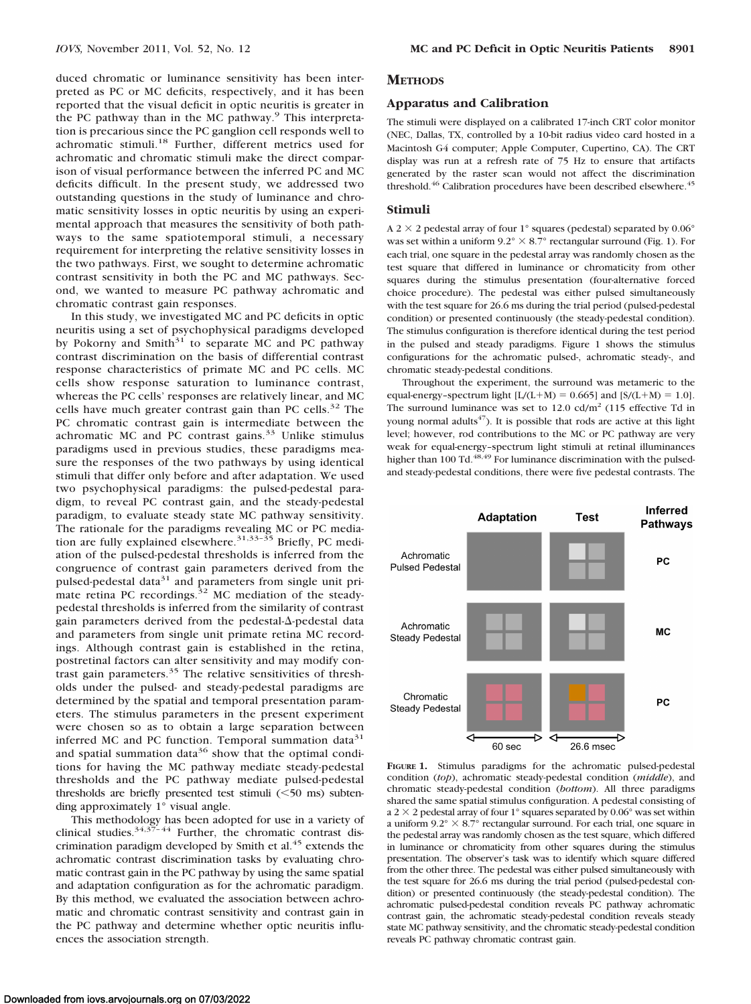duced chromatic or luminance sensitivity has been interpreted as PC or MC deficits, respectively, and it has been reported that the visual deficit in optic neuritis is greater in the PC pathway than in the MC pathway.<sup>9</sup> This interpretation is precarious since the PC ganglion cell responds well to achromatic stimuli.<sup>18</sup> Further, different metrics used for achromatic and chromatic stimuli make the direct comparison of visual performance between the inferred PC and MC deficits difficult. In the present study, we addressed two outstanding questions in the study of luminance and chromatic sensitivity losses in optic neuritis by using an experimental approach that measures the sensitivity of both pathways to the same spatiotemporal stimuli, a necessary requirement for interpreting the relative sensitivity losses in the two pathways. First, we sought to determine achromatic contrast sensitivity in both the PC and MC pathways. Second, we wanted to measure PC pathway achromatic and chromatic contrast gain responses.

In this study, we investigated MC and PC deficits in optic neuritis using a set of psychophysical paradigms developed by Pokorny and Smith<sup>31</sup> to separate MC and PC pathway contrast discrimination on the basis of differential contrast response characteristics of primate MC and PC cells. MC cells show response saturation to luminance contrast, whereas the PC cells' responses are relatively linear, and MC cells have much greater contrast gain than PC cells.<sup>32</sup> The PC chromatic contrast gain is intermediate between the achromatic MC and PC contrast gains. $33$  Unlike stimulus paradigms used in previous studies, these paradigms measure the responses of the two pathways by using identical stimuli that differ only before and after adaptation. We used two psychophysical paradigms: the pulsed-pedestal paradigm, to reveal PC contrast gain, and the steady-pedestal paradigm, to evaluate steady state MC pathway sensitivity. The rationale for the paradigms revealing MC or PC mediation are fully explained elsewhere.<sup>31,33-35</sup> Briefly, PC mediation of the pulsed-pedestal thresholds is inferred from the congruence of contrast gain parameters derived from the pulsed-pedestal data<sup>31</sup> and parameters from single unit primate retina PC recordings. $32$  MC mediation of the steadypedestal thresholds is inferred from the similarity of contrast gain parameters derived from the pedestal- $\Delta$ -pedestal data and parameters from single unit primate retina MC recordings. Although contrast gain is established in the retina, postretinal factors can alter sensitivity and may modify contrast gain parameters.<sup>35</sup> The relative sensitivities of thresholds under the pulsed- and steady-pedestal paradigms are determined by the spatial and temporal presentation parameters. The stimulus parameters in the present experiment were chosen so as to obtain a large separation between inferred MC and PC function. Temporal summation data $31$ and spatial summation data<sup>36</sup> show that the optimal conditions for having the MC pathway mediate steady-pedestal thresholds and the PC pathway mediate pulsed-pedestal thresholds are briefly presented test stimuli  $(<50$  ms) subtending approximately 1° visual angle.

This methodology has been adopted for use in a variety of clinical studies. $34,37-44$  Further, the chromatic contrast discrimination paradigm developed by Smith et al. $45$  extends the achromatic contrast discrimination tasks by evaluating chromatic contrast gain in the PC pathway by using the same spatial and adaptation configuration as for the achromatic paradigm. By this method, we evaluated the association between achromatic and chromatic contrast sensitivity and contrast gain in the PC pathway and determine whether optic neuritis influences the association strength.

#### **METHODS**

# **Apparatus and Calibration**

The stimuli were displayed on a calibrated 17-inch CRT color monitor (NEC, Dallas, TX, controlled by a 10-bit radius video card hosted in a Macintosh G4 computer; Apple Computer, Cupertino, CA). The CRT display was run at a refresh rate of 75 Hz to ensure that artifacts generated by the raster scan would not affect the discrimination threshold.<sup>46</sup> Calibration procedures have been described elsewhere.<sup>45</sup>

#### **Stimuli**

A 2  $\times$  2 pedestal array of four 1° squares (pedestal) separated by 0.06° was set within a uniform  $9.2^{\circ} \times 8.7^{\circ}$  rectangular surround (Fig. 1). For each trial, one square in the pedestal array was randomly chosen as the test square that differed in luminance or chromaticity from other squares during the stimulus presentation (four-alternative forced choice procedure). The pedestal was either pulsed simultaneously with the test square for 26.6 ms during the trial period (pulsed-pedestal condition) or presented continuously (the steady-pedestal condition). The stimulus configuration is therefore identical during the test period in the pulsed and steady paradigms. Figure 1 shows the stimulus configurations for the achromatic pulsed-, achromatic steady-, and chromatic steady-pedestal conditions.

Throughout the experiment, the surround was metameric to the equal-energy-spectrum light  $[L/(L+M) = 0.665]$  and  $[S/(L+M) = 1.0]$ . The surround luminance was set to  $12.0 \text{ cd/m}^2$  (115 effective Td in young normal adults<sup>47</sup>). It is possible that rods are active at this light level; however, rod contributions to the MC or PC pathway are very weak for equal-energy–spectrum light stimuli at retinal illuminances higher than 100 Td.<sup>48,49</sup> For luminance discrimination with the pulsedand steady-pedestal conditions, there were five pedestal contrasts. The



**FIGURE 1.** Stimulus paradigms for the achromatic pulsed-pedestal condition (*top*), achromatic steady-pedestal condition (*middle*), and chromatic steady-pedestal condition (*bottom*). All three paradigms shared the same spatial stimulus configuration. A pedestal consisting of a 2  $\times$  2 pedestal array of four 1° squares separated by 0.06° was set within a uniform  $9.2^{\circ} \times 8.7^{\circ}$  rectangular surround. For each trial, one square in the pedestal array was randomly chosen as the test square, which differed in luminance or chromaticity from other squares during the stimulus presentation. The observer's task was to identify which square differed from the other three. The pedestal was either pulsed simultaneously with the test square for 26.6 ms during the trial period (pulsed-pedestal condition) or presented continuously (the steady-pedestal condition). The achromatic pulsed-pedestal condition reveals PC pathway achromatic contrast gain, the achromatic steady-pedestal condition reveals steady state MC pathway sensitivity, and the chromatic steady-pedestal condition reveals PC pathway chromatic contrast gain.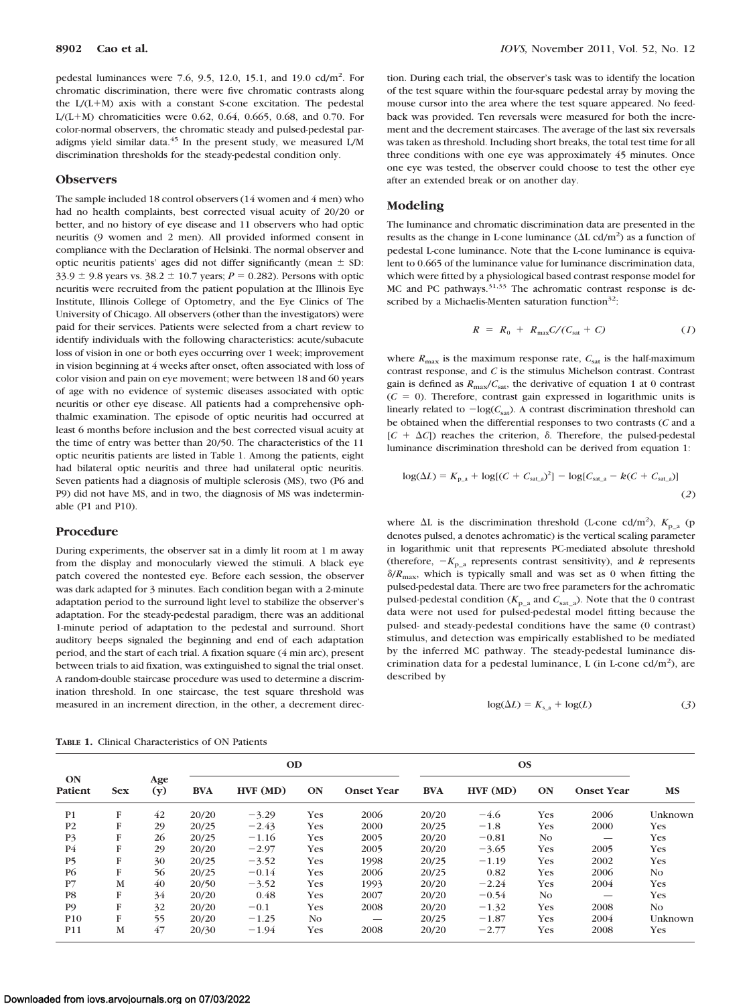pedestal luminances were 7.6, 9.5, 12.0, 15.1, and 19.0 cd/m<sup>2</sup>. For chromatic discrimination, there were five chromatic contrasts along the  $L/(L+M)$  axis with a constant S-cone excitation. The pedestal L/(L+M) chromaticities were 0.62, 0.64, 0.665, 0.68, and 0.70. For color-normal observers, the chromatic steady and pulsed-pedestal paradigms yield similar data. $45$  In the present study, we measured L/M discrimination thresholds for the steady-pedestal condition only.

#### **Observers**

The sample included 18 control observers (14 women and 4 men) who had no health complaints, best corrected visual acuity of 20/20 or better, and no history of eye disease and 11 observers who had optic neuritis (9 women and 2 men). All provided informed consent in compliance with the Declaration of Helsinki. The normal observer and optic neuritis patients' ages did not differ significantly (mean  $\pm$  SD: 33.9  $\pm$  9.8 years vs. 38.2  $\pm$  10.7 years; *P* = 0.282). Persons with optic neuritis were recruited from the patient population at the Illinois Eye Institute, Illinois College of Optometry, and the Eye Clinics of The University of Chicago. All observers (other than the investigators) were paid for their services. Patients were selected from a chart review to identify individuals with the following characteristics: acute/subacute loss of vision in one or both eyes occurring over 1 week; improvement in vision beginning at 4 weeks after onset, often associated with loss of color vision and pain on eye movement; were between 18 and 60 years of age with no evidence of systemic diseases associated with optic neuritis or other eye disease. All patients had a comprehensive ophthalmic examination. The episode of optic neuritis had occurred at least 6 months before inclusion and the best corrected visual acuity at the time of entry was better than 20/50. The characteristics of the 11 optic neuritis patients are listed in Table 1. Among the patients, eight had bilateral optic neuritis and three had unilateral optic neuritis. Seven patients had a diagnosis of multiple sclerosis (MS), two (P6 and P9) did not have MS, and in two, the diagnosis of MS was indeterminable (P1 and P10).

### **Procedure**

During experiments, the observer sat in a dimly lit room at 1 m away from the display and monocularly viewed the stimuli. A black eye patch covered the nontested eye. Before each session, the observer was dark adapted for 3 minutes. Each condition began with a 2-minute adaptation period to the surround light level to stabilize the observer's adaptation. For the steady-pedestal paradigm, there was an additional 1-minute period of adaptation to the pedestal and surround. Short auditory beeps signaled the beginning and end of each adaptation period, and the start of each trial. A fixation square (4 min arc), present between trials to aid fixation, was extinguished to signal the trial onset. A random-double staircase procedure was used to determine a discrimination threshold. In one staircase, the test square threshold was measured in an increment direction, in the other, a decrement direc-

**TABLE 1.** Clinical Characteristics of ON Patients

tion. During each trial, the observer's task was to identify the location of the test square within the four-square pedestal array by moving the mouse cursor into the area where the test square appeared. No feedback was provided. Ten reversals were measured for both the increment and the decrement staircases. The average of the last six reversals was taken as threshold. Including short breaks, the total test time for all three conditions with one eye was approximately 45 minutes. Once one eye was tested, the observer could choose to test the other eye after an extended break or on another day.

#### **Modeling**

The luminance and chromatic discrimination data are presented in the results as the change in L-cone luminance  $(\Delta L \text{ cd/m}^2)$  as a function of pedestal L-cone luminance. Note that the L-cone luminance is equivalent to 0.665 of the luminance value for luminance discrimination data, which were fitted by a physiological based contrast response model for MC and PC pathways.<sup>31,33</sup> The achromatic contrast response is described by a Michaelis-Menten saturation function $32$ :

$$
R = R_0 + R_{\text{max}} C / (C_{\text{sat}} + C) \tag{1}
$$

where  $R_{\text{max}}$  is the maximum response rate,  $C_{\text{sat}}$  is the half-maximum contrast response, and *C* is the stimulus Michelson contrast. Contrast gain is defined as  $R_{\text{max}}/C_{\text{sat}}$ , the derivative of equation 1 at 0 contrast  $(C = 0)$ . Therefore, contrast gain expressed in logarithmic units is linearly related to  $-\log(C_{\text{sat}})$ . A contrast discrimination threshold can be obtained when the differential responses to two contrasts (*C* and a  $[C + \Delta C]$  reaches the criterion,  $\delta$ . Therefore, the pulsed-pedestal luminance discrimination threshold can be derived from equation 1:

$$
log(\Delta L) = K_{p_a} + log[(C + C_{sat_a})^2] - log[C_{sat_a} - k(C + C_{sat_a})]
$$
\n(2)

where  $\Delta L$  is the discrimination threshold (L-cone cd/m<sup>2</sup>),  $K_{p_a}$  (p denotes pulsed, a denotes achromatic) is the vertical scaling parameter in logarithmic unit that represents PC-mediated absolute threshold (therefore,  $-K_{p,a}$  represents contrast sensitivity), and *k* represents  $\delta/R_{\text{max}}$ , which is typically small and was set as 0 when fitting the pulsed-pedestal data. There are two free parameters for the achromatic pulsed-pedestal condition ( $K_{p_a}$  and  $C_{\text{sata}}$ ). Note that the 0 contrast data were not used for pulsed-pedestal model fitting because the pulsed- and steady-pedestal conditions have the same (0 contrast) stimulus, and detection was empirically established to be mediated by the inferred MC pathway. The steady-pedestal luminance discrimination data for a pedestal luminance,  $L$  (in L-cone cd/m<sup>2</sup>), are described by

$$
\log(\Delta L) = K_{s_{\perp}a} + \log(L) \tag{3}
$$

| ON<br>Patient   | <b>Sex</b> | Age<br>(y) | <b>OD</b>  |         |     |                   | <b>OS</b>  |         |            |                   |           |
|-----------------|------------|------------|------------|---------|-----|-------------------|------------|---------|------------|-------------------|-----------|
|                 |            |            | <b>BVA</b> | HVF(MD) | ON  | <b>Onset Year</b> | <b>BVA</b> | HVF(MD) | ON         | <b>Onset Year</b> | <b>MS</b> |
| P <sub>1</sub>  | F          | 42         | 20/20      | $-3.29$ | Yes | 2006              | 20/20      | $-4.6$  | Yes        | 2006              | Unknown   |
| P <sub>2</sub>  | F          | 29         | 20/25      | $-2.43$ | Yes | 2000              | 20/25      | $-1.8$  | Yes        | 2000              | Yes       |
| P <sub>3</sub>  | F          | 26         | 20/25      | $-1.16$ | Yes | 2005              | 20/20      | $-0.81$ | No         |                   | Yes       |
| P4              | F          | 29         | 20/20      | $-2.97$ | Yes | 2005              | 20/20      | $-3.65$ | Yes        | 2005              | Yes       |
| P <sub>5</sub>  | F          | 30         | 20/25      | $-3.52$ | Yes | 1998              | 20/25      | $-1.19$ | <b>Yes</b> | 2002              | Yes       |
| <b>P6</b>       | F          | 56         | 20/25      | $-0.14$ | Yes | 2006              | 20/25      | 0.82    | Yes        | 2006              | No.       |
| P7              | M          | 40         | 20/50      | $-3.52$ | Yes | 1993              | 20/20      | $-2.24$ | Yes        | 2004              | Yes       |
| P <sub>8</sub>  | F          | 34         | 20/20      | 0.48    | Yes | 2007              | 20/20      | $-0.54$ | No         |                   | Yes       |
| P <sub>9</sub>  | F          | 32         | 20/20      | $-0.1$  | Yes | 2008              | 20/20      | $-1.32$ | Yes        | 2008              | No.       |
| P <sub>10</sub> | F          | 55         | 20/20      | $-1.25$ | No. |                   | 20/25      | $-1.87$ | Yes        | 2004              | Unknown   |
| P11             | M          | 47         | 20/30      | $-1.94$ | Yes | 2008              | 20/20      | $-2.77$ | Yes        | 2008              | Yes       |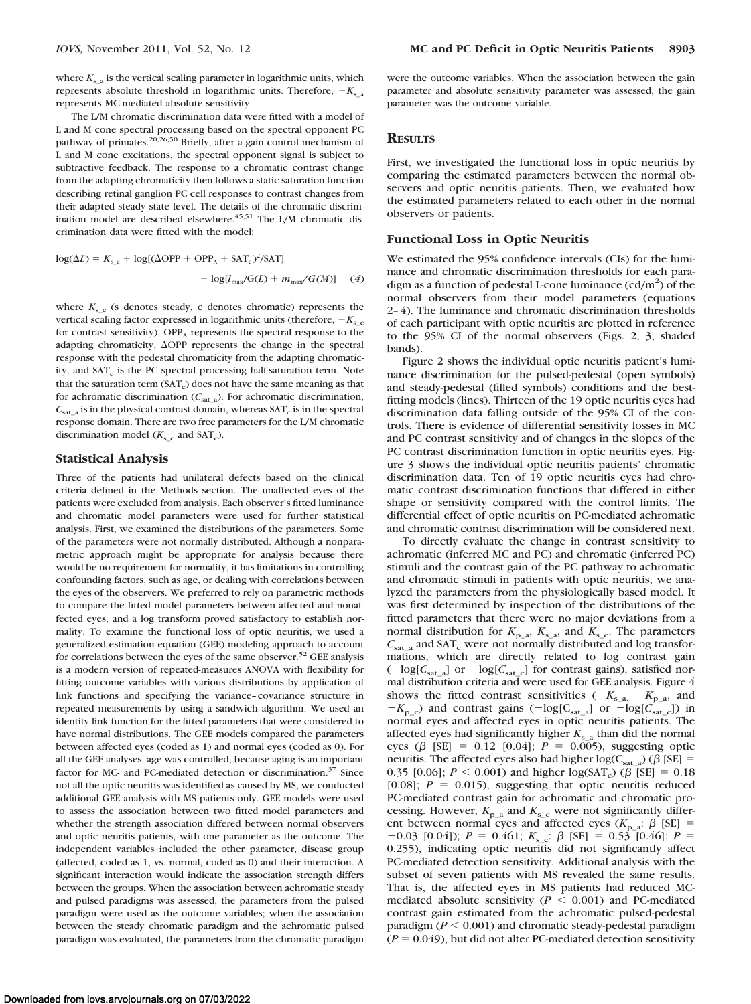where  $K<sub>s</sub>$ <sub>a</sub> is the vertical scaling parameter in logarithmic units, which represents absolute threshold in logarithmic units. Therefore,  $-K_{s,a}$ represents MC-mediated absolute sensitivity.

The L/M chromatic discrimination data were fitted with a model of L and M cone spectral processing based on the spectral opponent PC pathway of primates.20,26,50 Briefly, after a gain control mechanism of L and M cone excitations, the spectral opponent signal is subject to subtractive feedback. The response to a chromatic contrast change from the adapting chromaticity then follows a static saturation function describing retinal ganglion PC cell responses to contrast changes from their adapted steady state level. The details of the chromatic discrimination model are described elsewhere. $45,51$  The L/M chromatic discrimination data were fitted with the model:

$$
log(\Delta L) = K_{s_c} + log[(\Delta \text{OPP} + \text{OPP}_A + \text{SAT}_c)^2/\text{SAT}]
$$

$$
- log[I_{\text{max}}/\text{G}(L) + m_{\text{max}}/\text{G}(M)] \quad (4)
$$

where  $K_{s,c}$  (s denotes steady, c denotes chromatic) represents the vertical scaling factor expressed in logarithmic units (therefore,  $-K_{\rm s}$ <sub>c</sub> for contrast sensitivity),  $OPP_A$  represents the spectral response to the adapting chromaticity, OPP represents the change in the spectral response with the pedestal chromaticity from the adapting chromaticity, and SAT<sub>c</sub> is the PC spectral processing half-saturation term. Note that the saturation term  $(SAT<sub>c</sub>)$  does not have the same meaning as that for achromatic discrimination  $(C_{\text{sat}_a})$ . For achromatic discrimination,  $C_{\text{sat}}$  a is in the physical contrast domain, whereas  $\text{SAT}_c$  is in the spectral response domain. There are two free parameters for the L/M chromatic discrimination model  $(K_{s_c}$  and SAT<sub>c</sub>).

## **Statistical Analysis**

Three of the patients had unilateral defects based on the clinical criteria defined in the Methods section. The unaffected eyes of the patients were excluded from analysis. Each observer's fitted luminance and chromatic model parameters were used for further statistical analysis. First, we examined the distributions of the parameters. Some of the parameters were not normally distributed. Although a nonparametric approach might be appropriate for analysis because there would be no requirement for normality, it has limitations in controlling confounding factors, such as age, or dealing with correlations between the eyes of the observers. We preferred to rely on parametric methods to compare the fitted model parameters between affected and nonaffected eyes, and a log transform proved satisfactory to establish normality. To examine the functional loss of optic neuritis, we used a generalized estimation equation (GEE) modeling approach to account for correlations between the eyes of the same observer.<sup>52</sup> GEE analysis is a modern version of repeated-measures ANOVA with flexibility for fitting outcome variables with various distributions by application of link functions and specifying the variance–covariance structure in repeated measurements by using a sandwich algorithm. We used an identity link function for the fitted parameters that were considered to have normal distributions. The GEE models compared the parameters between affected eyes (coded as 1) and normal eyes (coded as 0). For all the GEE analyses, age was controlled, because aging is an important factor for MC- and PC-mediated detection or discrimination.<sup>37</sup> Since not all the optic neuritis was identified as caused by MS, we conducted additional GEE analysis with MS patients only. GEE models were used to assess the association between two fitted model parameters and whether the strength association differed between normal observers and optic neuritis patients, with one parameter as the outcome. The independent variables included the other parameter, disease group (affected, coded as 1, vs. normal, coded as 0) and their interaction. A significant interaction would indicate the association strength differs between the groups. When the association between achromatic steady and pulsed paradigms was assessed, the parameters from the pulsed paradigm were used as the outcome variables; when the association between the steady chromatic paradigm and the achromatic pulsed paradigm was evaluated, the parameters from the chromatic paradigm

were the outcome variables. When the association between the gain parameter and absolute sensitivity parameter was assessed, the gain parameter was the outcome variable.

## **RESULTS**

First, we investigated the functional loss in optic neuritis by comparing the estimated parameters between the normal observers and optic neuritis patients. Then, we evaluated how the estimated parameters related to each other in the normal observers or patients.

#### **Functional Loss in Optic Neuritis**

We estimated the 95% confidence intervals (CIs) for the luminance and chromatic discrimination thresholds for each paradigm as a function of pedestal L-cone luminance  $(cd/m^2)$  of the normal observers from their model parameters (equations 2– 4). The luminance and chromatic discrimination thresholds of each participant with optic neuritis are plotted in reference to the 95% CI of the normal observers (Figs. 2, 3, shaded bands).

Figure 2 shows the individual optic neuritis patient's luminance discrimination for the pulsed-pedestal (open symbols) and steady-pedestal (filled symbols) conditions and the bestfitting models (lines). Thirteen of the 19 optic neuritis eyes had discrimination data falling outside of the 95% CI of the controls. There is evidence of differential sensitivity losses in MC and PC contrast sensitivity and of changes in the slopes of the PC contrast discrimination function in optic neuritis eyes. Figure 3 shows the individual optic neuritis patients' chromatic discrimination data. Ten of 19 optic neuritis eyes had chromatic contrast discrimination functions that differed in either shape or sensitivity compared with the control limits. The differential effect of optic neuritis on PC-mediated achromatic and chromatic contrast discrimination will be considered next.

To directly evaluate the change in contrast sensitivity to achromatic (inferred MC and PC) and chromatic (inferred PC) stimuli and the contrast gain of the PC pathway to achromatic and chromatic stimuli in patients with optic neuritis, we analyzed the parameters from the physiologically based model. It was first determined by inspection of the distributions of the fitted parameters that there were no major deviations from a normal distribution for  $K_{p_a}$ ,  $K_{s_a}$ , and  $K_{s_a}$ . The parameters  $C_{\text{sat} a}$  and SAT<sub>c</sub> were not normally distributed and log transformations, which are directly related to log contrast gain  $\left(-\log[C_{\text{sat\_a}}] \text{ or } -\log[C_{\text{sat\_c}}] \text{ for contrast gains}\right)$ , satisfied normal distribution criteria and were used for GEE analysis. Figure 4 shows the fitted contrast sensitivities  $(-K_{s-a} - K_{p-a}$ , and  $-K_{p_c}$ ) and contrast gains ( $-\log[C_{\text{sat}_c}]$  or  $-\log[C_{\text{sat}_c}]$ ) in normal eyes and affected eyes in optic neuritis patients. The affected eyes had significantly higher  $K<sub>s</sub>$  than did the normal eyes ( $\beta$  [SE] = 0.12 [0.04];  $P = 0.005$ ), suggesting optic neuritis. The affected eyes also had higher  $log(C_{sat_a})$  ( $\beta$  [SE] = 0.35 [0.06];  $P < 0.001$ ) and higher log(SAT<sub>c</sub>) ( $\beta$  [SE] = 0.18 [0.08];  $P = 0.015$ ), suggesting that optic neuritis reduced PC-mediated contrast gain for achromatic and chromatic processing. However,  $K_{p_a}$  and  $K_{s_c}$  were not significantly different between normal eyes and affected eyes  $(K_{p-a}: \beta$  [SE] =  $-0.03$  [0.04]);  $P = 0.461$ ;  $K_{s_c}$ :  $\beta$  [SE] = 0.53 [0.46];  $P =$ 0.255), indicating optic neuritis did not significantly affect PC-mediated detection sensitivity. Additional analysis with the subset of seven patients with MS revealed the same results. That is, the affected eyes in MS patients had reduced MCmediated absolute sensitivity ( $P < 0.001$ ) and PC-mediated contrast gain estimated from the achromatic pulsed-pedestal paradigm  $(P \le 0.001)$  and chromatic steady-pedestal paradigm  $(P = 0.049)$ , but did not alter PC-mediated detection sensitivity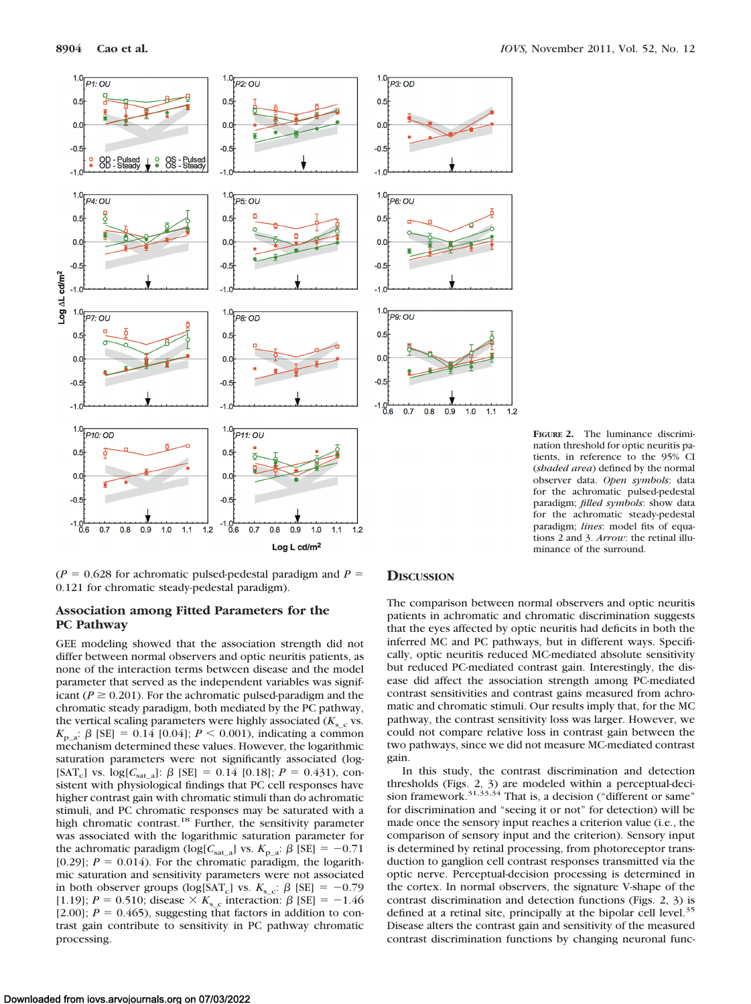

**8904 Cao et al.** *IOVS,* November 2011, Vol. 52, No. 12

**FIGURE 2.** The luminance discrimination threshold for optic neuritis patients, in reference to the 95% CI (*shaded area*) defined by the normal observer data. *Open symbols*: data for the achromatic pulsed-pedestal paradigm; *filled symbols*: show data for the achromatic steady-pedestal paradigm; *lines*: model fits of equations 2 and 3. *Arrow*: the retinal illuminance of the surround.

 $(P = 0.628$  for achromatic pulsed-pedestal paradigm and  $P =$ 0.121 for chromatic steady-pedestal paradigm).

## **Association among Fitted Parameters for the PC Pathway**

GEE modeling showed that the association strength did not differ between normal observers and optic neuritis patients, as none of the interaction terms between disease and the model parameter that served as the independent variables was significant ( $P \ge 0.201$ ). For the achromatic pulsed-paradigm and the chromatic steady paradigm, both mediated by the PC pathway, the vertical scaling parameters were highly associated  $(K_{s_c}$  vs.  $K_{p_a}$ :  $\beta$  [SE] = 0.14 [0.04];  $P \le 0.001$ ), indicating a common mechanism determined these values. However, the logarithmic saturation parameters were not significantly associated (log- [SAT<sub>c</sub>] vs.  $log[C_{sat_a}]$ :  $\beta$  [SE] = 0.14 [0.18];  $P = 0.431$ ), consistent with physiological findings that PC cell responses have higher contrast gain with chromatic stimuli than do achromatic stimuli, and PC chromatic responses may be saturated with a high chromatic contrast.<sup>18</sup> Further, the sensitivity parameter was associated with the logarithmic saturation parameter for the achromatic paradigm (log[ $C_{\text{sat-a}}$ ] vs.  $K_{\text{p-a}}$ :  $\beta$  [SE] = -0.71 [0.29];  $P = 0.014$ ). For the chromatic paradigm, the logarithmic saturation and sensitivity parameters were not associated in both observer groups (log[SAT<sub>c</sub>] vs.  $K_{\rm s}$ <sub>c</sub>:  $\beta$  [SE] = -0.79 [1.19];  $P = 0.510$ ; disease  $\times K_{\rm s}$  c interaction:  $\beta$  [SE] = -1.46 [2.00];  $P = 0.465$ ), suggesting that factors in addition to contrast gain contribute to sensitivity in PC pathway chromatic processing.

## **DISCUSSION**

The comparison between normal observers and optic neuritis patients in achromatic and chromatic discrimination suggests that the eyes affected by optic neuritis had deficits in both the inferred MC and PC pathways, but in different ways. Specifically, optic neuritis reduced MC-mediated absolute sensitivity but reduced PC-mediated contrast gain. Interestingly, the disease did affect the association strength among PC-mediated contrast sensitivities and contrast gains measured from achromatic and chromatic stimuli. Our results imply that, for the MC pathway, the contrast sensitivity loss was larger. However, we could not compare relative loss in contrast gain between the two pathways, since we did not measure MC-mediated contrast gain.

In this study, the contrast discrimination and detection thresholds (Figs. 2, 3) are modeled within a perceptual-deci-<br>sion framework.<sup>31,33,34</sup> That is, a decision ("different or same" for discrimination and "seeing it or not" for detection) will be made once the sensory input reaches a criterion value (i.e., the comparison of sensory input and the criterion). Sensory input is determined by retinal processing, from photoreceptor transduction to ganglion cell contrast responses transmitted via the optic nerve. Perceptual-decision processing is determined in the cortex. In normal observers, the signature V-shape of the contrast discrimination and detection functions (Figs. 2, 3) is defined at a retinal site, principally at the bipolar cell level.<sup>35</sup> Disease alters the contrast gain and sensitivity of the measured contrast discrimination functions by changing neuronal func-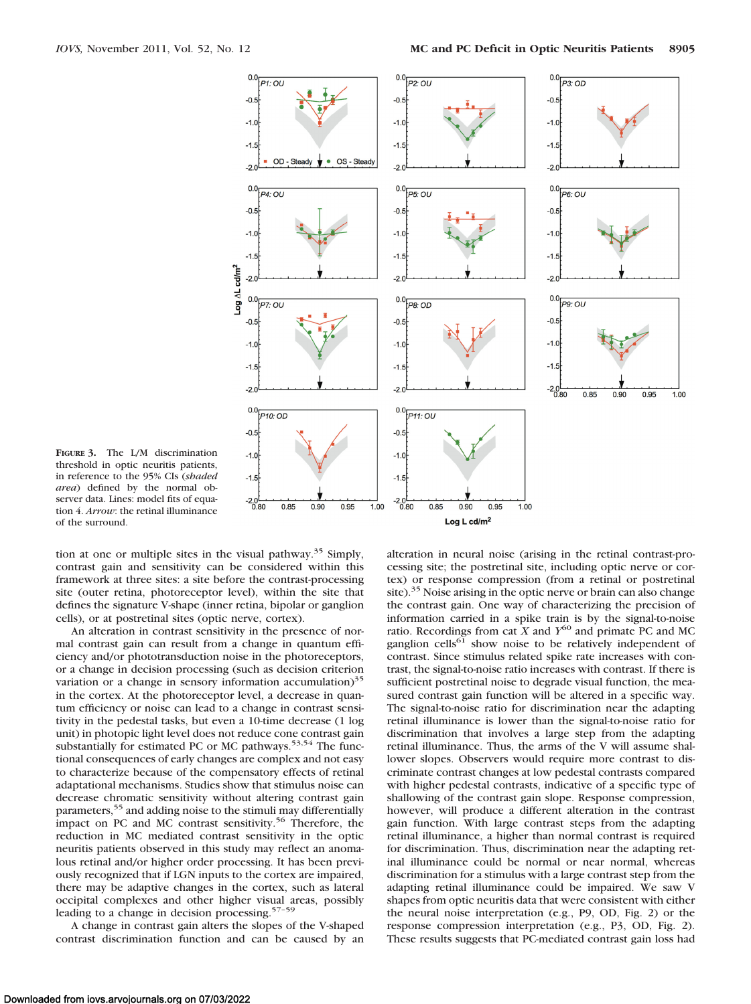

**FIGURE 3.** The L/M discrimination threshold in optic neuritis patients, in reference to the 95% CIs (*shaded area*) defined by the normal observer data. Lines: model fits of equation 4. *Arrow*: the retinal illuminance of the surround.

tion at one or multiple sites in the visual pathway.35 Simply, contrast gain and sensitivity can be considered within this framework at three sites: a site before the contrast-processing site (outer retina, photoreceptor level), within the site that defines the signature V-shape (inner retina, bipolar or ganglion cells), or at postretinal sites (optic nerve, cortex).

An alteration in contrast sensitivity in the presence of normal contrast gain can result from a change in quantum efficiency and/or phototransduction noise in the photoreceptors, or a change in decision processing (such as decision criterion variation or a change in sensory information accumulation) $35$ in the cortex. At the photoreceptor level, a decrease in quantum efficiency or noise can lead to a change in contrast sensitivity in the pedestal tasks, but even a 10-time decrease (1 log unit) in photopic light level does not reduce cone contrast gain substantially for estimated PC or MC pathways.<sup>53,54</sup> The functional consequences of early changes are complex and not easy to characterize because of the compensatory effects of retinal adaptational mechanisms. Studies show that stimulus noise can decrease chromatic sensitivity without altering contrast gain parameters,<sup>55</sup> and adding noise to the stimuli may differentially impact on PC and MC contrast sensitivity.<sup>56</sup> Therefore, the reduction in MC mediated contrast sensitivity in the optic neuritis patients observed in this study may reflect an anomalous retinal and/or higher order processing. It has been previously recognized that if LGN inputs to the cortex are impaired, there may be adaptive changes in the cortex, such as lateral occipital complexes and other higher visual areas, possibly leading to a change in decision processing.57–59

A change in contrast gain alters the slopes of the V-shaped contrast discrimination function and can be caused by an alteration in neural noise (arising in the retinal contrast-processing site; the postretinal site, including optic nerve or cortex) or response compression (from a retinal or postretinal site).<sup>35</sup> Noise arising in the optic nerve or brain can also change the contrast gain. One way of characterizing the precision of information carried in a spike train is by the signal-to-noise ratio. Recordings from cat *X* and *Y*<sup>60</sup> and primate PC and MC ganglion cells<sup>61</sup> show noise to be relatively independent of contrast. Since stimulus related spike rate increases with contrast, the signal-to-noise ratio increases with contrast. If there is sufficient postretinal noise to degrade visual function, the measured contrast gain function will be altered in a specific way. The signal-to-noise ratio for discrimination near the adapting retinal illuminance is lower than the signal-to-noise ratio for discrimination that involves a large step from the adapting retinal illuminance. Thus, the arms of the V will assume shallower slopes. Observers would require more contrast to discriminate contrast changes at low pedestal contrasts compared with higher pedestal contrasts, indicative of a specific type of shallowing of the contrast gain slope. Response compression, however, will produce a different alteration in the contrast gain function. With large contrast steps from the adapting retinal illuminance, a higher than normal contrast is required for discrimination. Thus, discrimination near the adapting retinal illuminance could be normal or near normal, whereas discrimination for a stimulus with a large contrast step from the adapting retinal illuminance could be impaired. We saw V shapes from optic neuritis data that were consistent with either the neural noise interpretation (e.g., P9, OD, Fig. 2) or the response compression interpretation (e.g., P3, OD, Fig. 2). These results suggests that PC-mediated contrast gain loss had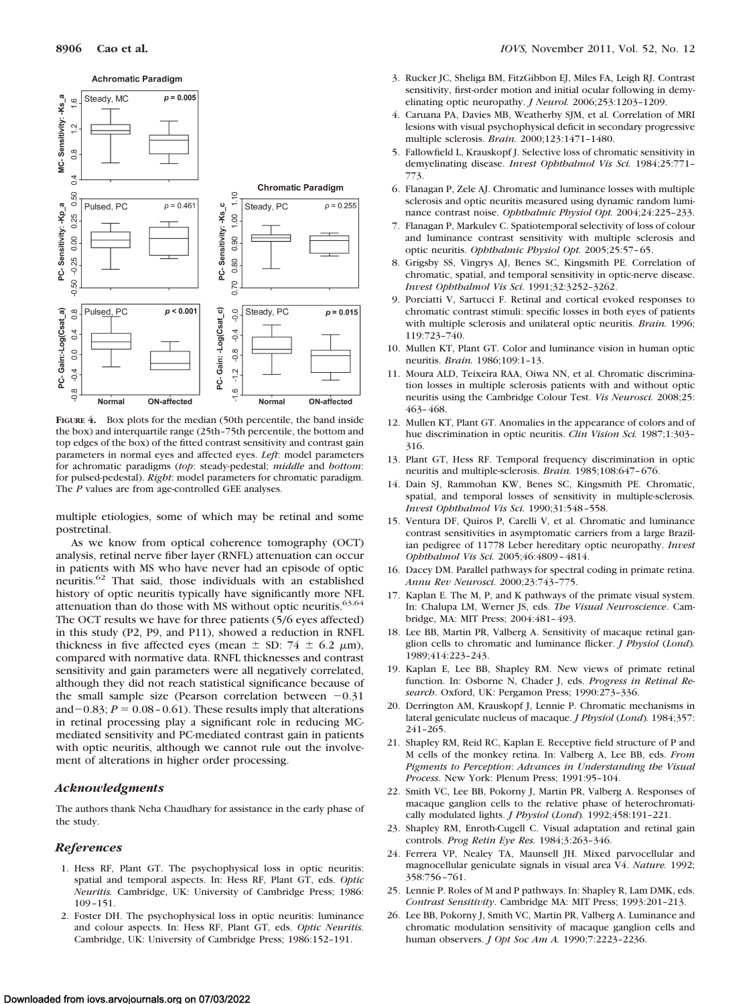

**FIGURE 4.** Box plots for the median (50th percentile, the band inside the box) and interquartile range (25th–75th percentile, the bottom and top edges of the box) of the fitted contrast sensitivity and contrast gain parameters in normal eyes and affected eyes. *Left*: model parameters for achromatic paradigms (*top*: steady-pedestal; *middle* and *bottom*: for pulsed-pedestal). *Right*: model parameters for chromatic paradigm. The *P* values are from age-controlled GEE analyses.

multiple etiologies, some of which may be retinal and some postretinal.

As we know from optical coherence tomography (OCT) analysis, retinal nerve fiber layer (RNFL) attenuation can occur in patients with MS who have never had an episode of optic neuritis.62 That said, those individuals with an established history of optic neuritis typically have significantly more NFL attenuation than do those with MS without optic neuritis. $63,64$ The OCT results we have for three patients (5/6 eyes affected) in this study (P2, P9, and P11), showed a reduction in RNFL thickness in five affected eyes (mean  $\pm$  SD: 74  $\pm$  6.2  $\mu$ m), compared with normative data. RNFL thicknesses and contrast sensitivity and gain parameters were all negatively correlated, although they did not reach statistical significance because of the small sample size (Pearson correlation between  $-0.31$ and  $-0.83$ ;  $P = 0.08 - 0.61$ ). These results imply that alterations in retinal processing play a significant role in reducing MCmediated sensitivity and PC-mediated contrast gain in patients with optic neuritis, although we cannot rule out the involvement of alterations in higher order processing.

#### *Acknowledgments*

The authors thank Neha Chaudhary for assistance in the early phase of the study.

#### *References*

- 1. Hess RF, Plant GT. The psychophysical loss in optic neuritis: spatial and temporal aspects. In: Hess RF, Plant GT, eds. *Optic Neuritis.* Cambridge, UK: University of Cambridge Press; 1986: 109 –151.
- 2. Foster DH. The psychophysical loss in optic neuritis: luminance and colour aspects. In: Hess RF, Plant GT, eds. *Optic Neuritis.* Cambridge, UK: University of Cambridge Press; 1986:152–191.
- 3. Rucker JC, Sheliga BM, FitzGibbon EJ, Miles FA, Leigh RJ. Contrast sensitivity, first-order motion and initial ocular following in demyelinating optic neuropathy. *J Neurol.* 2006;253:1203–1209.
- 4. Caruana PA, Davies MB, Weatherby SJM, et al. Correlation of MRI lesions with visual psychophysical deficit in secondary progressive multiple sclerosis. *Brain.* 2000;123:1471–1480.
- 5. Fallowfield L, Krauskopf J. Selective loss of chromatic sensitivity in demyelinating disease. *Invest Ophthalmol Vis Sci.* 1984;25:771– 773.
- 6. Flanagan P, Zele AJ. Chromatic and luminance losses with multiple sclerosis and optic neuritis measured using dynamic random luminance contrast noise. *Ophthalmic Physiol Opt.* 2004;24:225–233.
- 7. Flanagan P, Markulev C. Spatiotemporal selectivity of loss of colour and luminance contrast sensitivity with multiple sclerosis and optic neuritis. *Ophthalmic Physiol Opt.* 2005;25:57– 65.
- 8. Grigsby SS, Vingrys AJ, Benes SC, Kingsmith PE. Correlation of chromatic, spatial, and temporal sensitivity in optic-nerve disease. *Invest Ophthalmol Vis Sci.* 1991;32:3252–3262.
- 9. Porciatti V, Sartucci F. Retinal and cortical evoked responses to chromatic contrast stimuli: specific losses in both eyes of patients with multiple sclerosis and unilateral optic neuritis. *Brain.* 1996; 119:723–740.
- 10. Mullen KT, Plant GT. Color and luminance vision in human optic neuritis. *Brain.* 1986;109:1–13.
- 11. Moura ALD, Teixeira RAA, Oiwa NN, et al. Chromatic discrimination losses in multiple sclerosis patients with and without optic neuritis using the Cambridge Colour Test. *Vis Neurosci.* 2008;25: 463– 468.
- 12. Mullen KT, Plant GT. Anomalies in the appearance of colors and of hue discrimination in optic neuritis. *Clin Vision Sci.* 1987;1:303– 316.
- 13. Plant GT, Hess RF. Temporal frequency discrimination in optic neuritis and multiple-sclerosis. *Brain.* 1985;108:647– 676.
- 14. Dain SJ, Rammohan KW, Benes SC, Kingsmith PE. Chromatic, spatial, and temporal losses of sensitivity in multiple-sclerosis. *Invest Ophthalmol Vis Sci.* 1990;31:548 –558.
- 15. Ventura DF, Quiros P, Carelli V, et al. Chromatic and luminance contrast sensitivities in asymptomatic carriers from a large Brazilian pedigree of 11778 Leber hereditary optic neuropathy. *Invest Ophthalmol Vis Sci.* 2005;46:4809 – 4814.
- 16. Dacey DM. Parallel pathways for spectral coding in primate retina. *Annu Rev Neurosci.* 2000;23:743–775.
- 17. Kaplan E. The M, P, and K pathways of the primate visual system. In: Chalupa LM, Werner JS, eds. *The Visual Neuroscience*. Cambridge, MA: MIT Press; 2004:481– 493.
- 18. Lee BB, Martin PR, Valberg A. Sensitivity of macaque retinal ganglion cells to chromatic and luminance flicker. *J Physiol* (*Lond*)*.* 1989;414:223–243.
- 19. Kaplan E, Lee BB, Shapley RM. New views of primate retinal function. In: Osborne N, Chader J, eds. *Progress in Retinal Research*. Oxford, UK: Pergamon Press; 1990:273–336.
- 20. Derrington AM, Krauskopf J, Lennie P. Chromatic mechanisms in lateral geniculate nucleus of macaque. *J Physiol* (*Lond*)*.* 1984;357: 241–265.
- 21. Shapley RM, Reid RC, Kaplan E. Receptive field structure of P and M cells of the monkey retina. In: Valberg A, Lee BB, eds. *From Pigments to Perception*: *Advances in Understanding the Visual Process*. New York: Plenum Press; 1991:95–104.
- 22. Smith VC, Lee BB, Pokorny J, Martin PR, Valberg A. Responses of macaque ganglion cells to the relative phase of heterochromatically modulated lights. *J Physiol* (*Lond*)*.* 1992;458:191–221.
- 23. Shapley RM, Enroth-Cugell C. Visual adaptation and retinal gain controls. *Prog Retin Eye Res.* 1984;3:263–346.
- 24. Ferrera VP, Nealey TA, Maunsell JH. Mixed parvocellular and magnocellular geniculate signals in visual area V4. *Nature.* 1992; 358:756 –761.
- 25. Lennie P. Roles of M and P pathways. In: Shapley R, Lam DMK, eds. *Contrast Sensitivity*. Cambridge MA: MIT Press; 1993:201–213.
- 26. Lee BB, Pokorny J, Smith VC, Martin PR, Valberg A. Luminance and chromatic modulation sensitivity of macaque ganglion cells and human observers. *J Opt Soc Am A.* 1990;7:2223–2236.